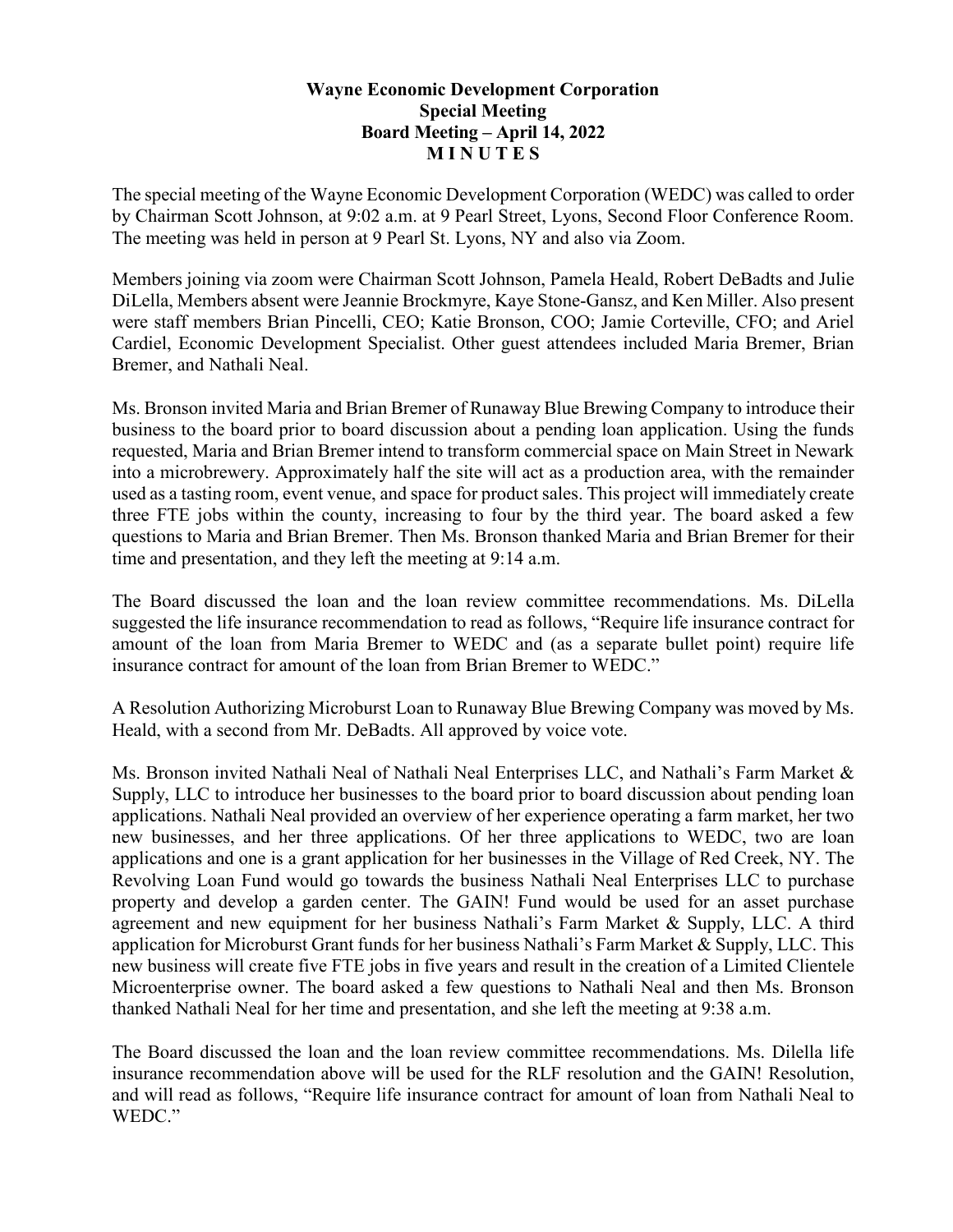## **Wayne Economic Development Corporation Special Meeting Board Meeting – April 14, 2022 M I N U T E S**

The special meeting of the Wayne Economic Development Corporation (WEDC) was called to order by Chairman Scott Johnson, at 9:02 a.m. at 9 Pearl Street, Lyons, Second Floor Conference Room. The meeting was held in person at 9 Pearl St. Lyons, NY and also via Zoom.

Members joining via zoom were Chairman Scott Johnson, Pamela Heald, Robert DeBadts and Julie DiLella, Members absent were Jeannie Brockmyre, Kaye Stone-Gansz, and Ken Miller. Also present were staff members Brian Pincelli, CEO; Katie Bronson, COO; Jamie Corteville, CFO; and Ariel Cardiel, Economic Development Specialist. Other guest attendees included Maria Bremer, Brian Bremer, and Nathali Neal.

Ms. Bronson invited Maria and Brian Bremer of Runaway Blue Brewing Company to introduce their business to the board prior to board discussion about a pending loan application. Using the funds requested, Maria and Brian Bremer intend to transform commercial space on Main Street in Newark into a microbrewery. Approximately half the site will act as a production area, with the remainder used as a tasting room, event venue, and space for product sales. This project will immediately create three FTE jobs within the county, increasing to four by the third year. The board asked a few questions to Maria and Brian Bremer. Then Ms. Bronson thanked Maria and Brian Bremer for their time and presentation, and they left the meeting at 9:14 a.m.

The Board discussed the loan and the loan review committee recommendations. Ms. DiLella suggested the life insurance recommendation to read as follows, "Require life insurance contract for amount of the loan from Maria Bremer to WEDC and (as a separate bullet point) require life insurance contract for amount of the loan from Brian Bremer to WEDC."

A Resolution Authorizing Microburst Loan to Runaway Blue Brewing Company was moved by Ms. Heald, with a second from Mr. DeBadts. All approved by voice vote.

Ms. Bronson invited Nathali Neal of Nathali Neal Enterprises LLC, and Nathali's Farm Market & Supply, LLC to introduce her businesses to the board prior to board discussion about pending loan applications. Nathali Neal provided an overview of her experience operating a farm market, her two new businesses, and her three applications. Of her three applications to WEDC, two are loan applications and one is a grant application for her businesses in the Village of Red Creek, NY. The Revolving Loan Fund would go towards the business Nathali Neal Enterprises LLC to purchase property and develop a garden center. The GAIN! Fund would be used for an asset purchase agreement and new equipment for her business Nathali's Farm Market & Supply, LLC. A third application for Microburst Grant funds for her business Nathali's Farm Market & Supply, LLC. This new business will create five FTE jobs in five years and result in the creation of a Limited Clientele Microenterprise owner. The board asked a few questions to Nathali Neal and then Ms. Bronson thanked Nathali Neal for her time and presentation, and she left the meeting at 9:38 a.m.

The Board discussed the loan and the loan review committee recommendations. Ms. Dilella life insurance recommendation above will be used for the RLF resolution and the GAIN! Resolution, and will read as follows, "Require life insurance contract for amount of loan from Nathali Neal to WEDC."